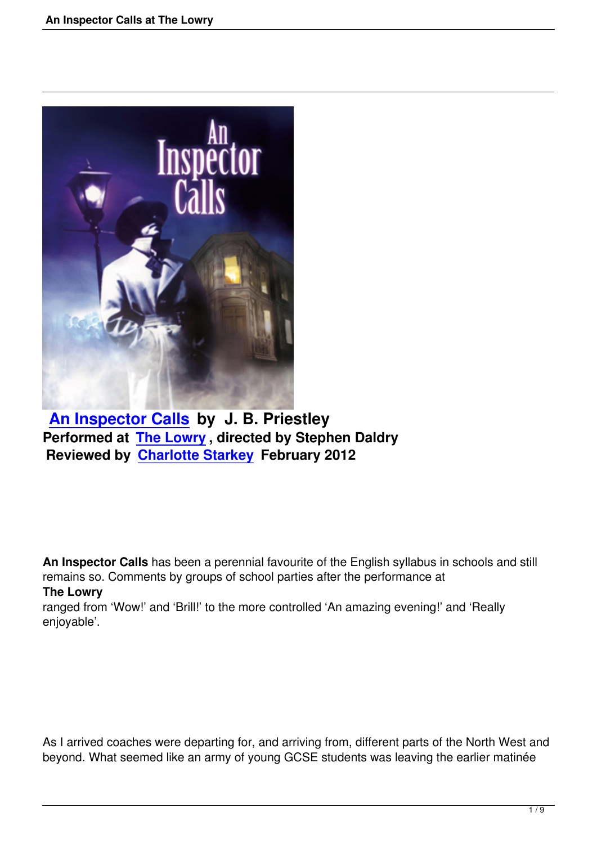

## **An Inspector Calls by J. B. Priestley Performed at The Lowry , directed by Stephen Daldry [Reviewed by Charlott](an-inspector-calls-the-lowry.html)e Starkey February 2012**

**An Inspector Calls** has been a perennial favourite of the English syllabus in schools and still remains so. Comments by groups of school parties after the performance at **The Lowry**

ranged from 'Wow!' and 'Brill!' to the more controlled 'An amazing evening!' and 'Really enjoyable'.

As I arrived coaches were departing for, and arriving from, different parts of the North West and beyond. What seemed like an army of young GCSE students was leaving the earlier matinée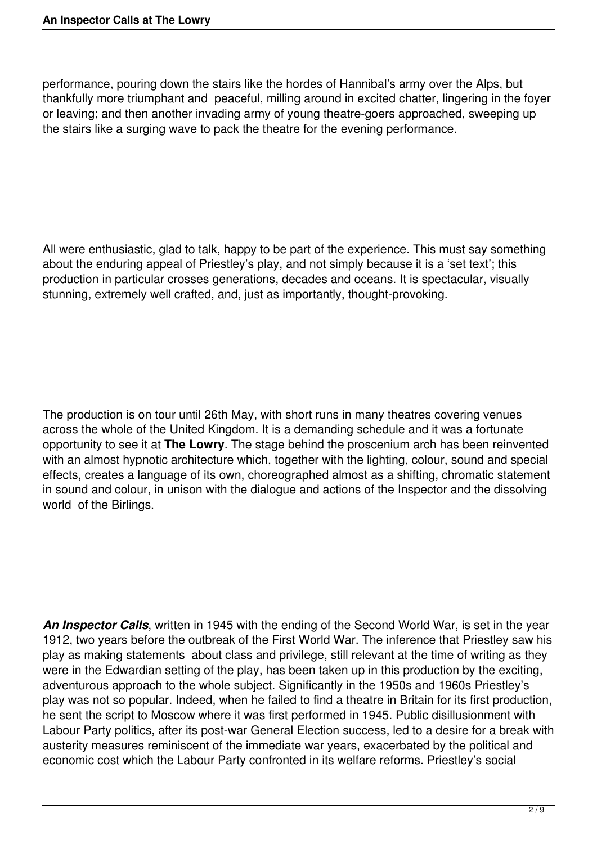performance, pouring down the stairs like the hordes of Hannibal's army over the Alps, but thankfully more triumphant and peaceful, milling around in excited chatter, lingering in the foyer or leaving; and then another invading army of young theatre-goers approached, sweeping up the stairs like a surging wave to pack the theatre for the evening performance.

All were enthusiastic, glad to talk, happy to be part of the experience. This must say something about the enduring appeal of Priestley's play, and not simply because it is a 'set text'; this production in particular crosses generations, decades and oceans. It is spectacular, visually stunning, extremely well crafted, and, just as importantly, thought-provoking.

The production is on tour until 26th May, with short runs in many theatres covering venues across the whole of the United Kingdom. It is a demanding schedule and it was a fortunate opportunity to see it at **The Lowry**. The stage behind the proscenium arch has been reinvented with an almost hypnotic architecture which, together with the lighting, colour, sound and special effects, creates a language of its own, choreographed almost as a shifting, chromatic statement in sound and colour, in unison with the dialogue and actions of the Inspector and the dissolving world of the Birlings.

*An Inspector Calls*, written in 1945 with the ending of the Second World War, is set in the year 1912, two years before the outbreak of the First World War. The inference that Priestley saw his play as making statements about class and privilege, still relevant at the time of writing as they were in the Edwardian setting of the play, has been taken up in this production by the exciting, adventurous approach to the whole subject. Significantly in the 1950s and 1960s Priestley's play was not so popular. Indeed, when he failed to find a theatre in Britain for its first production, he sent the script to Moscow where it was first performed in 1945. Public disillusionment with Labour Party politics, after its post-war General Election success, led to a desire for a break with austerity measures reminiscent of the immediate war years, exacerbated by the political and economic cost which the Labour Party confronted in its welfare reforms. Priestley's social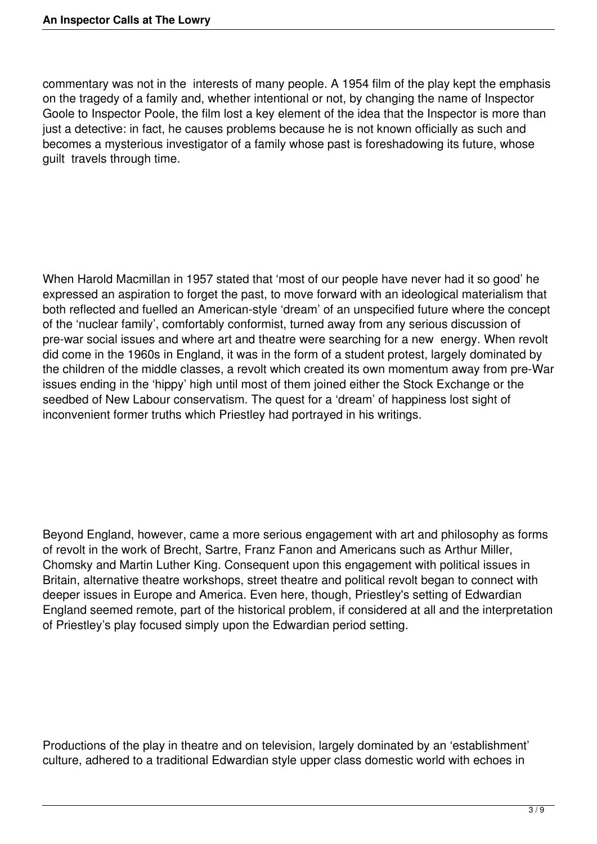commentary was not in the interests of many people. A 1954 film of the play kept the emphasis on the tragedy of a family and, whether intentional or not, by changing the name of Inspector Goole to Inspector Poole, the film lost a key element of the idea that the Inspector is more than just a detective: in fact, he causes problems because he is not known officially as such and becomes a mysterious investigator of a family whose past is foreshadowing its future, whose guilt travels through time.

When Harold Macmillan in 1957 stated that 'most of our people have never had it so good' he expressed an aspiration to forget the past, to move forward with an ideological materialism that both reflected and fuelled an American-style 'dream' of an unspecified future where the concept of the 'nuclear family', comfortably conformist, turned away from any serious discussion of pre-war social issues and where art and theatre were searching for a new energy. When revolt did come in the 1960s in England, it was in the form of a student protest, largely dominated by the children of the middle classes, a revolt which created its own momentum away from pre-War issues ending in the 'hippy' high until most of them joined either the Stock Exchange or the seedbed of New Labour conservatism. The quest for a 'dream' of happiness lost sight of inconvenient former truths which Priestley had portrayed in his writings.

Beyond England, however, came a more serious engagement with art and philosophy as forms of revolt in the work of Brecht, Sartre, Franz Fanon and Americans such as Arthur Miller, Chomsky and Martin Luther King. Consequent upon this engagement with political issues in Britain, alternative theatre workshops, street theatre and political revolt began to connect with deeper issues in Europe and America. Even here, though, Priestley's setting of Edwardian England seemed remote, part of the historical problem, if considered at all and the interpretation of Priestley's play focused simply upon the Edwardian period setting.

Productions of the play in theatre and on television, largely dominated by an 'establishment' culture, adhered to a traditional Edwardian style upper class domestic world with echoes in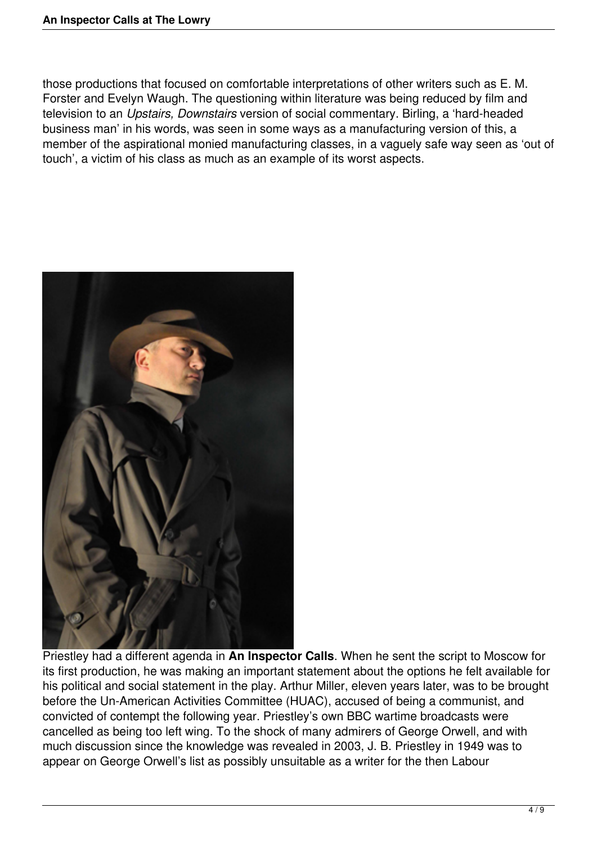those productions that focused on comfortable interpretations of other writers such as E. M. Forster and Evelyn Waugh. The questioning within literature was being reduced by film and television to an *Upstairs, Downstairs* version of social commentary. Birling, a 'hard-headed business man' in his words, was seen in some ways as a manufacturing version of this, a member of the aspirational monied manufacturing classes, in a vaguely safe way seen as 'out of touch', a victim of his class as much as an example of its worst aspects.



Priestley had a different agenda in **An Inspector Calls**. When he sent the script to Moscow for its first production, he was making an important statement about the options he felt available for his political and social statement in the play. Arthur Miller, eleven years later, was to be brought before the Un-American Activities Committee (HUAC), accused of being a communist, and convicted of contempt the following year. Priestley's own BBC wartime broadcasts were cancelled as being too left wing. To the shock of many admirers of George Orwell, and with much discussion since the knowledge was revealed in 2003, J. B. Priestley in 1949 was to appear on George Orwell's list as possibly unsuitable as a writer for the then Labour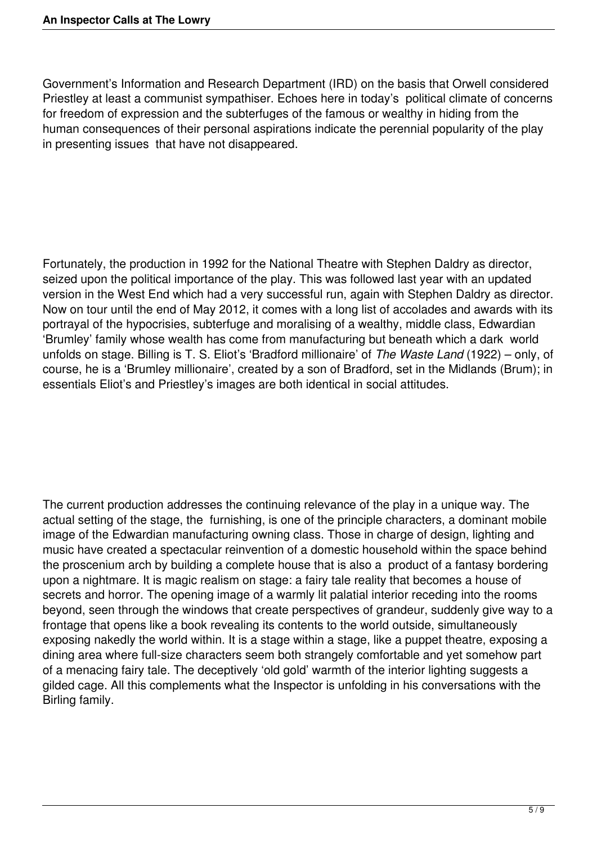Government's Information and Research Department (IRD) on the basis that Orwell considered Priestley at least a communist sympathiser. Echoes here in today's political climate of concerns for freedom of expression and the subterfuges of the famous or wealthy in hiding from the human consequences of their personal aspirations indicate the perennial popularity of the play in presenting issues that have not disappeared.

Fortunately, the production in 1992 for the National Theatre with Stephen Daldry as director, seized upon the political importance of the play. This was followed last year with an updated version in the West End which had a very successful run, again with Stephen Daldry as director. Now on tour until the end of May 2012, it comes with a long list of accolades and awards with its portrayal of the hypocrisies, subterfuge and moralising of a wealthy, middle class, Edwardian 'Brumley' family whose wealth has come from manufacturing but beneath which a dark world unfolds on stage. Billing is T. S. Eliot's 'Bradford millionaire' of *The Waste Land* (1922) – only, of course, he is a 'Brumley millionaire', created by a son of Bradford, set in the Midlands (Brum); in essentials Eliot's and Priestley's images are both identical in social attitudes.

The current production addresses the continuing relevance of the play in a unique way. The actual setting of the stage, the furnishing, is one of the principle characters, a dominant mobile image of the Edwardian manufacturing owning class. Those in charge of design, lighting and music have created a spectacular reinvention of a domestic household within the space behind the proscenium arch by building a complete house that is also a product of a fantasy bordering upon a nightmare. It is magic realism on stage: a fairy tale reality that becomes a house of secrets and horror. The opening image of a warmly lit palatial interior receding into the rooms beyond, seen through the windows that create perspectives of grandeur, suddenly give way to a frontage that opens like a book revealing its contents to the world outside, simultaneously exposing nakedly the world within. It is a stage within a stage, like a puppet theatre, exposing a dining area where full-size characters seem both strangely comfortable and yet somehow part of a menacing fairy tale. The deceptively 'old gold' warmth of the interior lighting suggests a gilded cage. All this complements what the Inspector is unfolding in his conversations with the Birling family.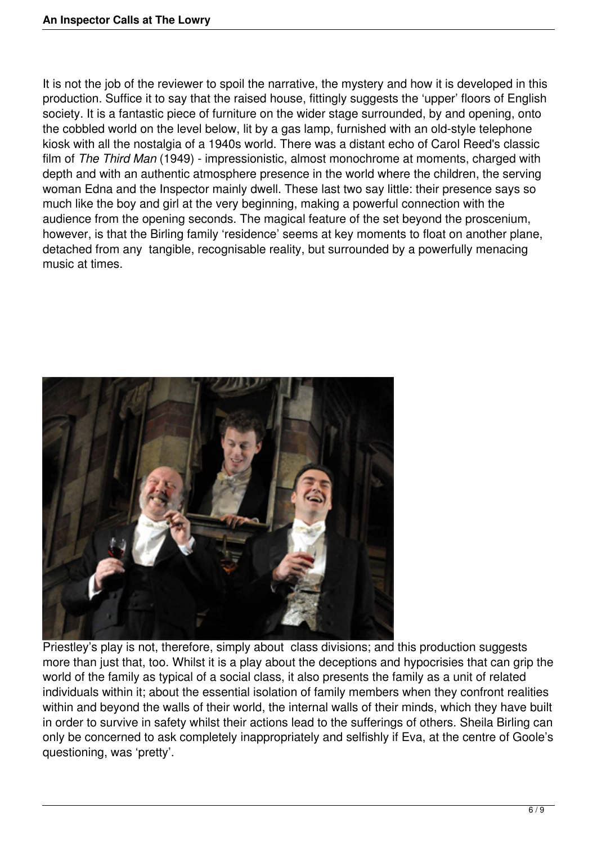It is not the job of the reviewer to spoil the narrative, the mystery and how it is developed in this production. Suffice it to say that the raised house, fittingly suggests the 'upper' floors of English society. It is a fantastic piece of furniture on the wider stage surrounded, by and opening, onto the cobbled world on the level below, lit by a gas lamp, furnished with an old-style telephone kiosk with all the nostalgia of a 1940s world. There was a distant echo of Carol Reed's classic film of *The Third Man* (1949) - impressionistic, almost monochrome at moments, charged with depth and with an authentic atmosphere presence in the world where the children, the serving woman Edna and the Inspector mainly dwell. These last two say little: their presence says so much like the boy and girl at the very beginning, making a powerful connection with the audience from the opening seconds. The magical feature of the set beyond the proscenium, however, is that the Birling family 'residence' seems at key moments to float on another plane, detached from any tangible, recognisable reality, but surrounded by a powerfully menacing music at times.



Priestley's play is not, therefore, simply about class divisions; and this production suggests more than just that, too. Whilst it is a play about the deceptions and hypocrisies that can grip the world of the family as typical of a social class, it also presents the family as a unit of related individuals within it; about the essential isolation of family members when they confront realities within and beyond the walls of their world, the internal walls of their minds, which they have built in order to survive in safety whilst their actions lead to the sufferings of others. Sheila Birling can only be concerned to ask completely inappropriately and selfishly if Eva, at the centre of Goole's questioning, was 'pretty'.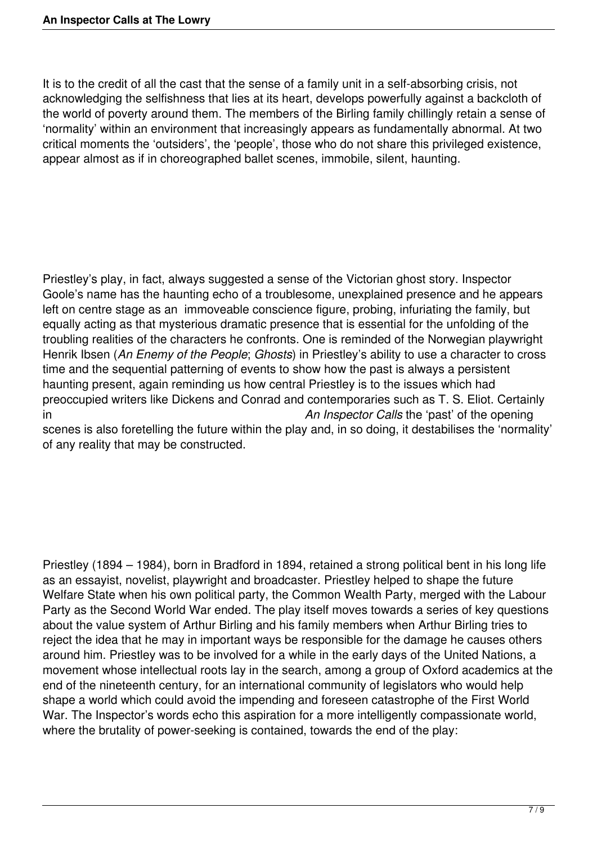It is to the credit of all the cast that the sense of a family unit in a self-absorbing crisis, not acknowledging the selfishness that lies at its heart, develops powerfully against a backcloth of the world of poverty around them. The members of the Birling family chillingly retain a sense of 'normality' within an environment that increasingly appears as fundamentally abnormal. At two critical moments the 'outsiders', the 'people', those who do not share this privileged existence, appear almost as if in choreographed ballet scenes, immobile, silent, haunting.

Priestley's play, in fact, always suggested a sense of the Victorian ghost story. Inspector Goole's name has the haunting echo of a troublesome, unexplained presence and he appears left on centre stage as an immoveable conscience figure, probing, infuriating the family, but equally acting as that mysterious dramatic presence that is essential for the unfolding of the troubling realities of the characters he confronts. One is reminded of the Norwegian playwright Henrik Ibsen (*An Enemy of the People*; *Ghosts*) in Priestley's ability to use a character to cross time and the sequential patterning of events to show how the past is always a persistent haunting present, again reminding us how central Priestley is to the issues which had preoccupied writers like Dickens and Conrad and contemporaries such as T. S. Eliot. Certainly in *An Inspector Calls* the 'past' of the opening scenes is also foretelling the future within the play and, in so doing, it destabilises the 'normality' of any reality that may be constructed.

Priestley (1894 – 1984), born in Bradford in 1894, retained a strong political bent in his long life as an essayist, novelist, playwright and broadcaster. Priestley helped to shape the future Welfare State when his own political party, the Common Wealth Party, merged with the Labour Party as the Second World War ended. The play itself moves towards a series of key questions about the value system of Arthur Birling and his family members when Arthur Birling tries to reject the idea that he may in important ways be responsible for the damage he causes others around him. Priestley was to be involved for a while in the early days of the United Nations, a movement whose intellectual roots lay in the search, among a group of Oxford academics at the end of the nineteenth century, for an international community of legislators who would help shape a world which could avoid the impending and foreseen catastrophe of the First World War. The Inspector's words echo this aspiration for a more intelligently compassionate world, where the brutality of power-seeking is contained, towards the end of the play: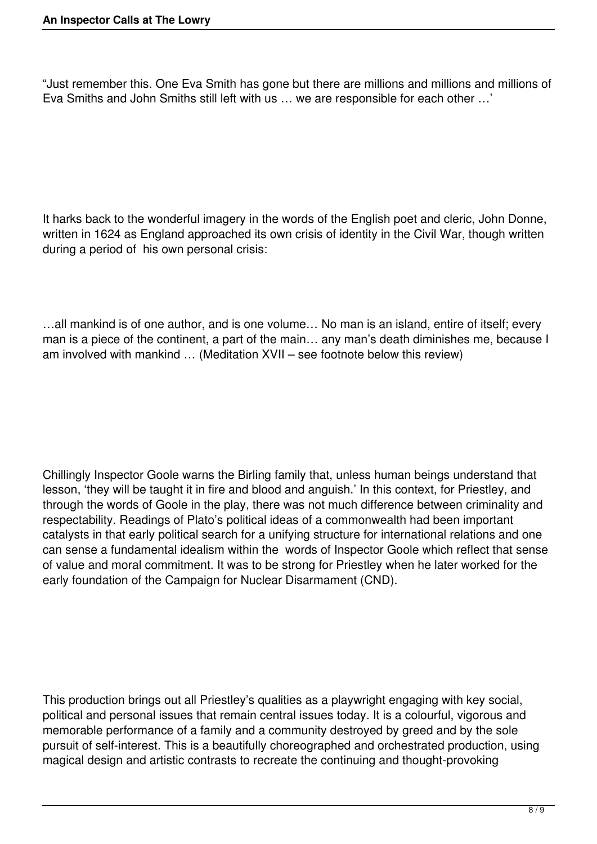"Just remember this. One Eva Smith has gone but there are millions and millions and millions of Eva Smiths and John Smiths still left with us … we are responsible for each other …'

It harks back to the wonderful imagery in the words of the English poet and cleric, John Donne, written in 1624 as England approached its own crisis of identity in the Civil War, though written during a period of his own personal crisis:

…all mankind is of one author, and is one volume… No man is an island, entire of itself; every man is a piece of the continent, a part of the main… any man's death diminishes me, because I am involved with mankind … (Meditation XVII – see footnote below this review)

Chillingly Inspector Goole warns the Birling family that, unless human beings understand that lesson, 'they will be taught it in fire and blood and anguish.' In this context, for Priestley, and through the words of Goole in the play, there was not much difference between criminality and respectability. Readings of Plato's political ideas of a commonwealth had been important catalysts in that early political search for a unifying structure for international relations and one can sense a fundamental idealism within the words of Inspector Goole which reflect that sense of value and moral commitment. It was to be strong for Priestley when he later worked for the early foundation of the Campaign for Nuclear Disarmament (CND).

This production brings out all Priestley's qualities as a playwright engaging with key social, political and personal issues that remain central issues today. It is a colourful, vigorous and memorable performance of a family and a community destroyed by greed and by the sole pursuit of self-interest. This is a beautifully choreographed and orchestrated production, using magical design and artistic contrasts to recreate the continuing and thought-provoking